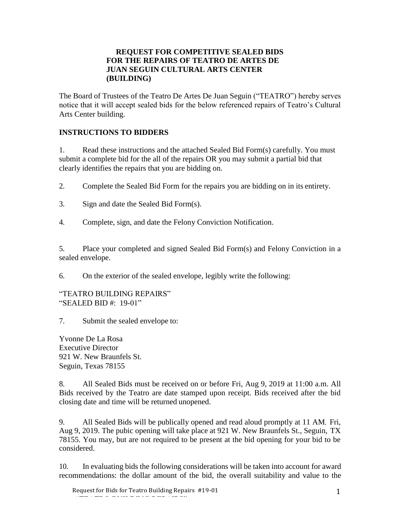#### **REQUEST FOR COMPETITIVE SEALED BIDS FOR THE REPAIRS OF TEATRO DE ARTES DE JUAN SEGUIN CULTURAL ARTS CENTER (BUILDING)**

The Board of Trustees of the Teatro De Artes De Juan Seguin ("TEATRO") hereby serves notice that it will accept sealed bids for the below referenced repairs of Teatro's Cultural Arts Center building.

# **INSTRUCTIONS TO BIDDERS**

1. Read these instructions and the attached Sealed Bid Form(s) carefully. You must submit a complete bid for the all of the repairs OR you may submit a partial bid that clearly identifies the repairs that you are bidding on.

2. Complete the Sealed Bid Form for the repairs you are bidding on in its entirety.

- 3. Sign and date the Sealed Bid Form(s).
- 4. Complete, sign, and date the Felony Conviction Notification.

5. Place your completed and signed Sealed Bid Form(s) and Felony Conviction in a sealed envelope.

6. On the exterior of the sealed envelope, legibly write the following:

#### "TEATRO BUILDING REPAIRS" "SEALED BID #: 19-01"

7. Submit the sealed envelope to:

Yvonne De La Rosa Executive Director 921 W. New Braunfels St. Seguin, Texas 78155

8. All Sealed Bids must be received on or before Fri, Aug 9, 2019 at 11:00 a.m. All Bids received by the Teatro are date stamped upon receipt. Bids received after the bid closing date and time will be returned unopened.

9. All Sealed Bids will be publically opened and read aloud promptly at 11 AM, Fri, Aug 9, 2019. The pubic opening will take place at 921 W. New Braunfels St., Seguin, TX 78155. You may, but are not required to be present at the bid opening for your bid to be considered.

10. In evaluating bids the following considerations will be taken into account for award recommendations: the dollar amount of the bid, the overall suitability and value to the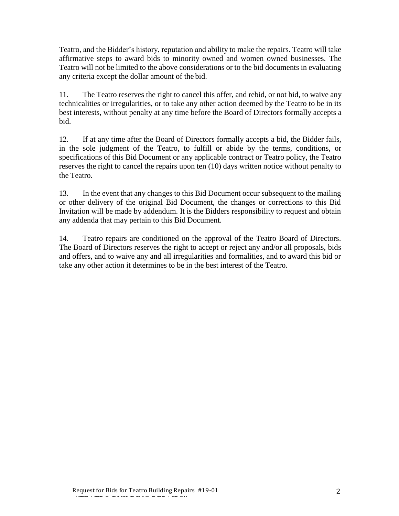Teatro, and the Bidder's history, reputation and ability to make the repairs. Teatro will take affirmative steps to award bids to minority owned and women owned businesses. The Teatro will not be limited to the above considerations or to the bid documents in evaluating any criteria except the dollar amount of the bid.

11. The Teatro reserves the right to cancel this offer, and rebid, or not bid, to waive any technicalities or irregularities, or to take any other action deemed by the Teatro to be in its best interests, without penalty at any time before the Board of Directors formally accepts a bid.

12. If at any time after the Board of Directors formally accepts a bid, the Bidder fails, in the sole judgment of the Teatro, to fulfill or abide by the terms, conditions, or specifications of this Bid Document or any applicable contract or Teatro policy, the Teatro reserves the right to cancel the repairs upon ten (10) days written notice without penalty to the Teatro.

13. In the event that any changes to this Bid Document occur subsequent to the mailing or other delivery of the original Bid Document, the changes or corrections to this Bid Invitation will be made by addendum. It is the Bidders responsibility to request and obtain any addenda that may pertain to this Bid Document.

14. Teatro repairs are conditioned on the approval of the Teatro Board of Directors. The Board of Directors reserves the right to accept or reject any and/or all proposals, bids and offers, and to waive any and all irregularities and formalities, and to award this bid or take any other action it determines to be in the best interest of the Teatro.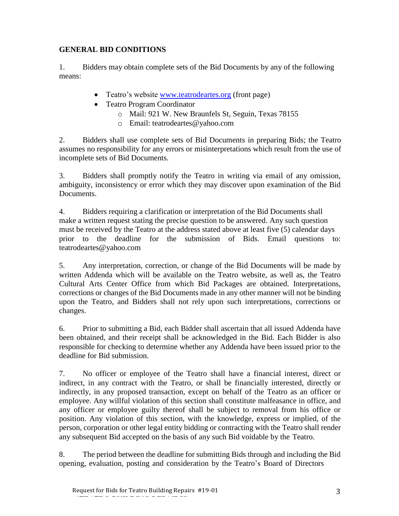# **GENERAL BID CONDITIONS**

1. Bidders may obtain complete sets of the Bid Documents by any of the following means:

- Teatro's website [www.teatrodeartes.org](http://www.teatrodeartes.org/) (front page)
- Teatro Program Coordinator
	- o Mail: 921 W. New Braunfels St, Seguin, Texas 78155
	- o Email: teatrodeartes@yahoo.com

2. Bidders shall use complete sets of Bid Documents in preparing Bids; the Teatro assumes no responsibility for any errors or misinterpretations which result from the use of incomplete sets of Bid Documents.

3. Bidders shall promptly notify the Teatro in writing via email of any omission, ambiguity, inconsistency or error which they may discover upon examination of the Bid Documents.

4. Bidders requiring a clarification or interpretation of the Bid Documents shall make a written request stating the precise question to be answered. Any such question must be received by the Teatro at the address stated above at least five (5) calendar days prior to the deadline for the submission of Bids. Email questions to: teatrodeartes@yahoo.com

5. Any interpretation, correction, or change of the Bid Documents will be made by written Addenda which will be available on the Teatro website, as well as, the Teatro Cultural Arts Center Office from which Bid Packages are obtained. Interpretations, corrections or changes of the Bid Documents made in any other manner will not be binding upon the Teatro, and Bidders shall not rely upon such interpretations, corrections or changes.

6. Prior to submitting a Bid, each Bidder shall ascertain that all issued Addenda have been obtained, and their receipt shall be acknowledged in the Bid. Each Bidder is also responsible for checking to determine whether any Addenda have been issued prior to the deadline for Bid submission.

7. No officer or employee of the Teatro shall have a financial interest, direct or indirect, in any contract with the Teatro, or shall be financially interested, directly or indirectly, in any proposed transaction, except on behalf of the Teatro as an officer or employee. Any willful violation of this section shall constitute malfeasance in office, and any officer or employee guilty thereof shall be subject to removal from his office or position. Any violation of this section, with the knowledge, express or implied, of the person, corporation or other legal entity bidding or contracting with the Teatro shall render any subsequent Bid accepted on the basis of any such Bid voidable by the Teatro.

8. The period between the deadline for submitting Bids through and including the Bid opening, evaluation, posting and consideration by the Teatro's Board of Directors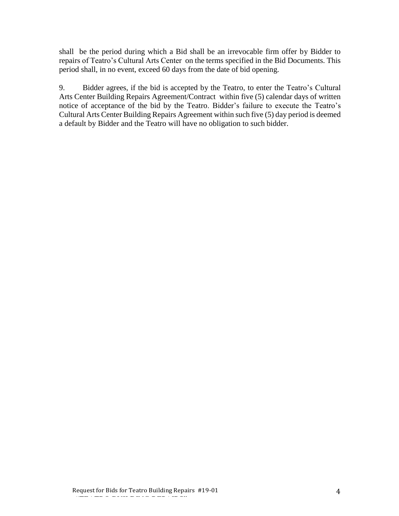shall be the period during which a Bid shall be an irrevocable firm offer by Bidder to repairs of Teatro's Cultural Arts Center on the terms specified in the Bid Documents. This period shall, in no event, exceed 60 days from the date of bid opening.

9. Bidder agrees, if the bid is accepted by the Teatro, to enter the Teatro's Cultural Arts Center Building Repairs Agreement/Contract within five (5) calendar days of written notice of acceptance of the bid by the Teatro. Bidder's failure to execute the Teatro's Cultural Arts Center Building Repairs Agreement within such five (5) day period is deemed a default by Bidder and the Teatro will have no obligation to such bidder.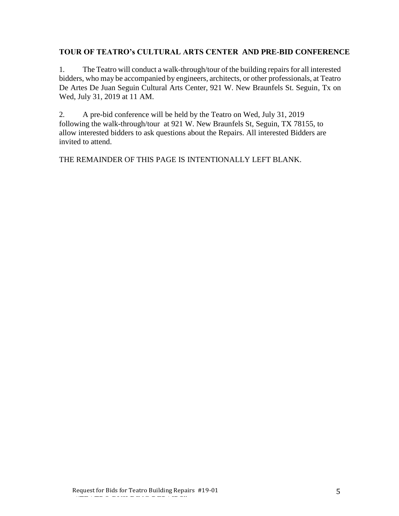## **TOUR OF TEATRO's CULTURAL ARTS CENTER AND PRE-BID CONFERENCE**

1. The Teatro will conduct a walk-through/tour of the building repairs for all interested bidders, who may be accompanied by engineers, architects, or other professionals, at Teatro De Artes De Juan Seguin Cultural Arts Center, 921 W. New Braunfels St. Seguin, Tx on Wed, July 31, 2019 at 11 AM.

2. A pre-bid conference will be held by the Teatro on Wed, July 31, 2019 following the walk-through/tour at 921 W. New Braunfels St, Seguin, TX 78155, to allow interested bidders to ask questions about the Repairs. All interested Bidders are invited to attend.

THE REMAINDER OF THIS PAGE IS INTENTIONALLY LEFT BLANK.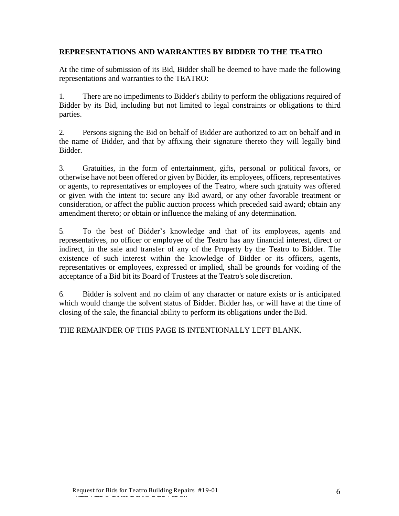## **REPRESENTATIONS AND WARRANTIES BY BIDDER TO THE TEATRO**

At the time of submission of its Bid, Bidder shall be deemed to have made the following representations and warranties to the TEATRO:

1. There are no impediments to Bidder's ability to perform the obligations required of Bidder by its Bid, including but not limited to legal constraints or obligations to third parties.

2. Persons signing the Bid on behalf of Bidder are authorized to act on behalf and in the name of Bidder, and that by affixing their signature thereto they will legally bind Bidder.

3. Gratuities, in the form of entertainment, gifts, personal or political favors, or otherwise have not been offered or given by Bidder, its employees, officers, representatives or agents, to representatives or employees of the Teatro, where such gratuity was offered or given with the intent to: secure any Bid award, or any other favorable treatment or consideration, or affect the public auction process which preceded said award; obtain any amendment thereto; or obtain or influence the making of any determination.

5. To the best of Bidder's knowledge and that of its employees, agents and representatives, no officer or employee of the Teatro has any financial interest, direct or indirect, in the sale and transfer of any of the Property by the Teatro to Bidder. The existence of such interest within the knowledge of Bidder or its officers, agents, representatives or employees, expressed or implied, shall be grounds for voiding of the acceptance of a Bid bit its Board of Trustees at the Teatro's sole discretion.

6. Bidder is solvent and no claim of any character or nature exists or is anticipated which would change the solvent status of Bidder. Bidder has, or will have at the time of closing of the sale, the financial ability to perform its obligations under theBid.

THE REMAINDER OF THIS PAGE IS INTENTIONALLY LEFT BLANK.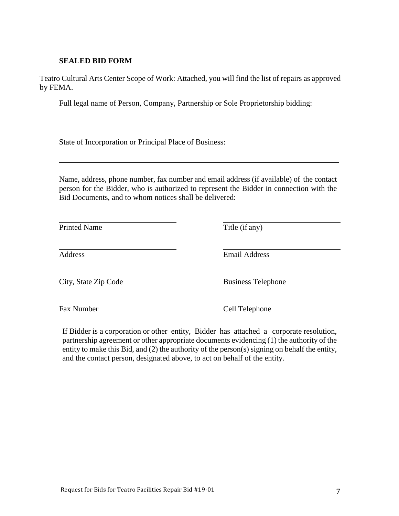## **SEALED BID FORM**

Teatro Cultural Arts Center Scope of Work: Attached, you will find the list of repairs as approved by FEMA.

Full legal name of Person, Company, Partnership or Sole Proprietorship bidding:

State of Incorporation or Principal Place of Business:

Name, address, phone number, fax number and email address (if available) of the contact person for the Bidder, who is authorized to represent the Bidder in connection with the Bid Documents, and to whom notices shall be delivered:

| <b>Printed Name</b>  | Title (if any)            |
|----------------------|---------------------------|
| <b>Address</b>       | <b>Email Address</b>      |
| City, State Zip Code | <b>Business Telephone</b> |

Fax Number Cell Telephone

If Bidder is a corporation or other entity, Bidder has attached a corporate resolution, partnership agreement or other appropriate documents evidencing (1) the authority of the entity to make this Bid, and (2) the authority of the person(s) signing on behalf the entity, and the contact person, designated above, to act on behalf of the entity.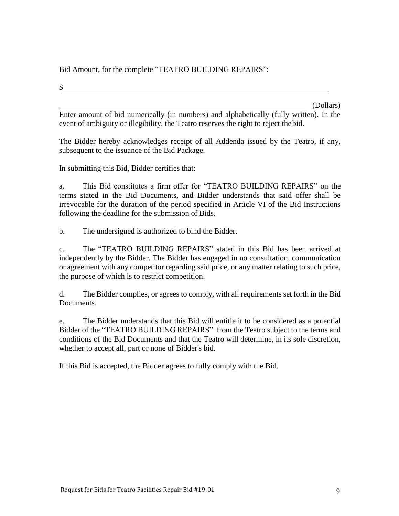# Bid Amount, for the complete "TEATRO BUILDING REPAIRS":

 $\mathcal{S}$ 

(Dollars)

Enter amount of bid numerically (in numbers) and alphabetically (fully written). In the event of ambiguity or illegibility, the Teatro reserves the right to reject thebid.

The Bidder hereby acknowledges receipt of all Addenda issued by the Teatro, if any, subsequent to the issuance of the Bid Package.

In submitting this Bid, Bidder certifies that:

a. This Bid constitutes a firm offer for "TEATRO BUILDING REPAIRS" on the terms stated in the Bid Documents, and Bidder understands that said offer shall be irrevocable for the duration of the period specified in Article VI of the Bid Instructions following the deadline for the submission of Bids.

b. The undersigned is authorized to bind the Bidder.

c. The "TEATRO BUILDING REPAIRS" stated in this Bid has been arrived at independently by the Bidder. The Bidder has engaged in no consultation, communication or agreement with any competitor regarding said price, or any matter relating to such price, the purpose of which is to restrict competition.

d. The Bidder complies, or agrees to comply, with all requirements set forth in the Bid Documents.

e. The Bidder understands that this Bid will entitle it to be considered as a potential Bidder of the "TEATRO BUILDING REPAIRS" from the Teatro subject to the terms and conditions of the Bid Documents and that the Teatro will determine, in its sole discretion, whether to accept all, part or none of Bidder's bid.

If this Bid is accepted, the Bidder agrees to fully comply with the Bid.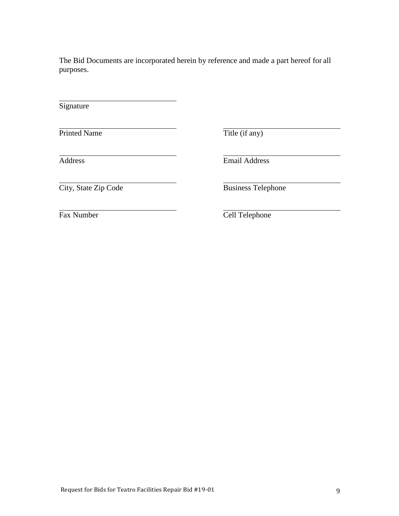The Bid Documents are incorporated herein by reference and made a part hereof for all purposes.

**Signature** 

Printed Name Title (if any)

Address Email Address

City, State Zip Code Business Telephone

Fax Number Cell Telephone